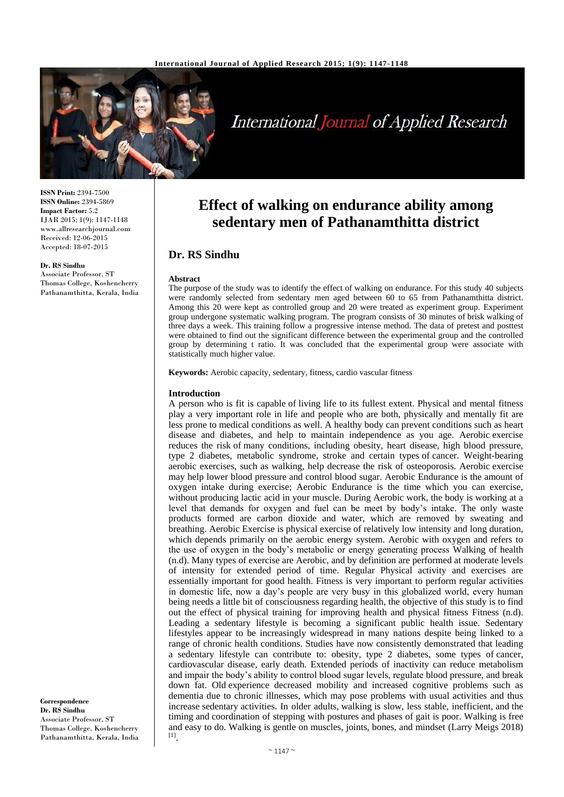

# International Journal of Applied Research

**ISSN Print:** 2394-7500 **ISSN Online:** 2394-5869 **Impact Factor:** 5.2 IJAR 2015; 1(9): 1147-1148 www.allresearchjournal.com Received: 12-06-2015 Accepted: 18-07-2015

#### **Dr. RS Sindhu**

Associate Professor, ST Thomas College, Koshencherry Pathanamthitta, Kerala, India

**Correspondence Dr. RS Sindhu** Associate Professor, ST Thomas College, Koshencherry Pathanamthitta, Kerala, India

# **Effect of walking on endurance ability among sedentary men of Pathanamthitta district**

# **Dr. RS Sindhu**

#### **Abstract**

The purpose of the study was to identify the effect of walking on endurance. For this study 40 subjects were randomly selected from sedentary men aged between 60 to 65 from Pathanamthitta district. Among this 20 were kept as controlled group and 20 were treated as experiment group. Experiment group undergone systematic walking program. The program consists of 30 minutes of brisk walking of three days a week. This training follow a progressive intense method. The data of pretest and posttest were obtained to find out the significant difference between the experimental group and the controlled group by determining t ratio. It was concluded that the experimental group were associate with statistically much higher value.

**Keywords:** Aerobic capacity, sedentary, fitness, cardio vascular fitness

#### **Introduction**

A person who is fit is capable of living life to its fullest extent. Physical and mental fitness play a very important role in life and people who are both, physically and mentally fit are less prone to medical conditions as well. A healthy body can prevent conditions such as heart disease and diabetes, and help to maintain independence as you age. Aerobic exercise reduces the risk of many conditions, including obesity, heart disease, high blood pressure, type 2 diabetes, metabolic syndrome, stroke and certain types of cancer. Weight-bearing aerobic exercises, such as walking, help decrease the risk of osteoporosis. Aerobic exercise may help lower blood pressure and control blood sugar. Aerobic Endurance is the amount of oxygen intake during exercise; Aerobic Endurance is the time which you can exercise, without producing lactic acid in your muscle. During Aerobic work, the body is working at a level that demands for oxygen and fuel can be meet by body's intake. The only waste products formed are carbon dioxide and water, which are removed by sweating and breathing. Aerobic Exercise is physical exercise of relatively low intensity and long duration, which depends primarily on the aerobic energy system. Aerobic with oxygen and refers to the use of oxygen in the body's metabolic or energy generating process Walking of health (n.d). Many types of exercise are Aerobic, and by definition are performed at moderate levels of intensity for extended period of time. Regular Physical activity and exercises are essentially important for good health. Fitness is very important to perform regular activities in domestic life, now a day's people are very busy in this globalized world, every human being needs a little bit of consciousness regarding health, the objective of this study is to find out the effect of physical training for improving health and physical fitness Fitness (n.d). Leading a sedentary lifestyle is becoming a significant public health issue. Sedentary lifestyles appear to be increasingly widespread in many nations despite being linked to a range of chronic health conditions. Studies have now consistently demonstrated that leading a sedentary lifestyle can contribute to: obesity, type 2 diabetes, some types of cancer, cardiovascular disease, early death. Extended periods of inactivity can reduce metabolism and impair the body's ability to control blood sugar levels, regulate blood pressure, and break down fat. Old experience decreased mobility and increased cognitive problems such as dementia due to chronic illnesses, which may pose problems with usual activities and thus increase sedentary activities. In older adults, walking is slow, less stable, inefficient, and the timing and coordination of stepping with postures and phases of gait is poor. Walking is free and easy to do. Walking is gentle on muscles, joints, bones, and mindset (Larry Meigs 2018) [1] .